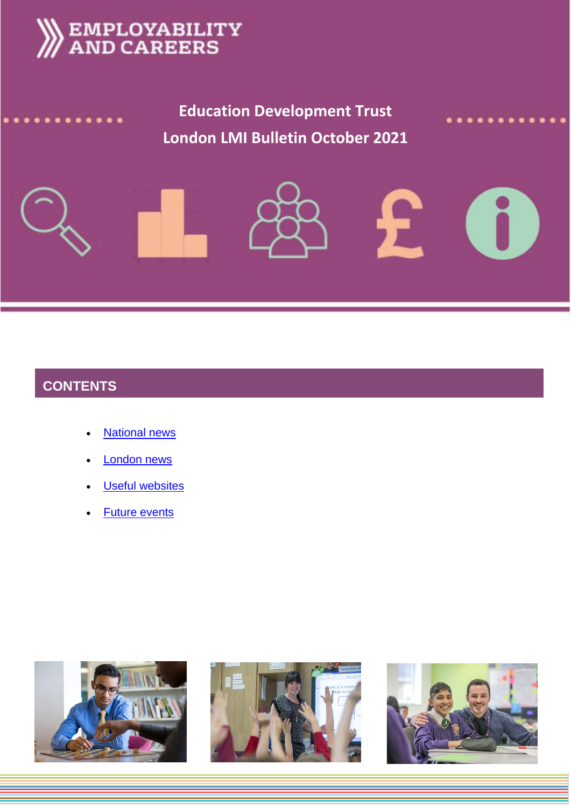



# **CONTENTS**

- **[National news](#page-1-0)**
- [London news](#page-5-0)
- **[Useful websites](#page-6-0)**
- [Future events](#page-7-0)





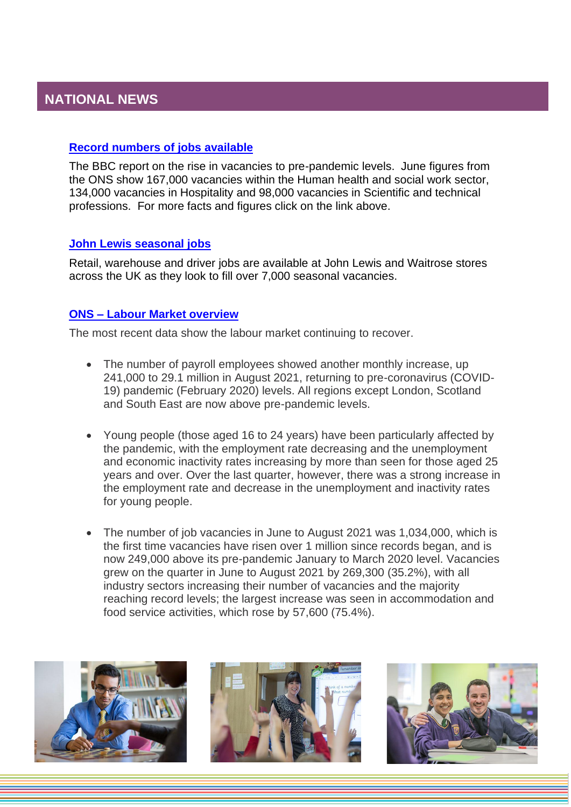## <span id="page-1-0"></span>**[Record numbers of jobs available](https://www.bbc.co.uk/news/business-58543554)**

The BBC report on the rise in vacancies to pre-pandemic levels. June figures from the ONS show 167,000 vacancies within the Human health and social work sector, 134,000 vacancies in Hospitality and 98,000 vacancies in Scientific and technical professions. For more facts and figures click on the link above.

### **[John Lewis seasonal jobs](https://www.bbc.co.uk/news/business-58570239)**

Retail, warehouse and driver jobs are available at John Lewis and Waitrose stores across the UK as they look to fill over 7,000 seasonal vacancies.

## **ONS – [Labour Market overview](https://www.ons.gov.uk/employmentandlabourmarket/peopleinwork/employmentandemployeetypes/bulletins/uklabourmarket/september2021)**

The most recent data show the labour market continuing to recover.

- The number of payroll employees showed another monthly increase, up 241,000 to 29.1 million in August 2021, returning to pre-coronavirus (COVID-19) pandemic (February 2020) levels. All regions except London, Scotland and South East are now above pre-pandemic levels.
- Young people (those aged 16 to 24 years) have been particularly affected by the pandemic, with the employment rate decreasing and the unemployment and economic inactivity rates increasing by more than seen for those aged 25 years and over. Over the last quarter, however, there was a strong increase in the employment rate and decrease in the unemployment and inactivity rates for young people.
- The number of job vacancies in June to August 2021 was 1,034,000, which is the first time vacancies have risen over 1 million since records began, and is now 249,000 above its pre-pandemic January to March 2020 level. Vacancies grew on the quarter in June to August 2021 by 269,300 (35.2%), with all industry sectors increasing their number of vacancies and the majority reaching record levels; the largest increase was seen in accommodation and food service activities, which rose by 57,600 (75.4%).





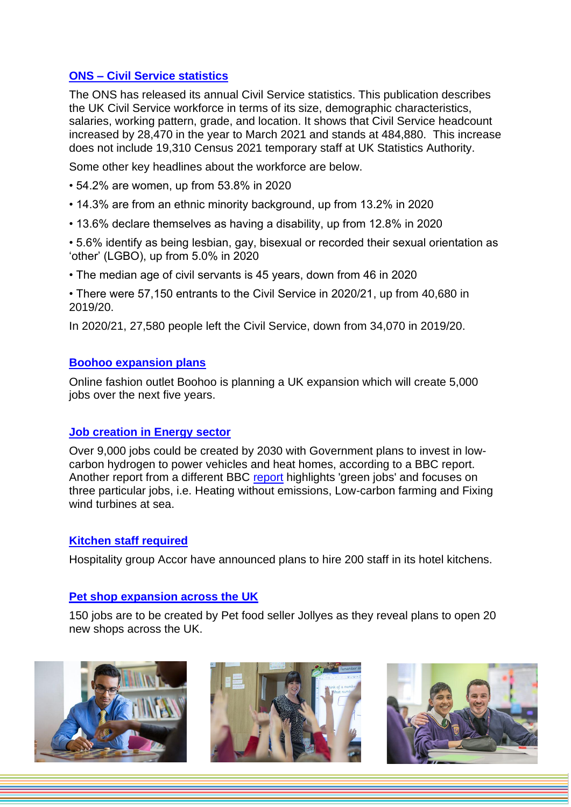## **ONS – [Civil Service statistics](http://www.gov.uk/government/statistics/civil-service-statistics-2021)**

The ONS has released its annual Civil Service statistics. This publication describes the UK Civil Service workforce in terms of its size, demographic characteristics, salaries, working pattern, grade, and location. It shows that Civil Service headcount increased by 28,470 in the year to March 2021 and stands at 484,880. This increase does not include 19,310 Census 2021 temporary staff at UK Statistics Authority.

Some other key headlines about the workforce are below.

- 54.2% are women, up from 53.8% in 2020
- 14.3% are from an ethnic minority background, up from 13.2% in 2020
- 13.6% declare themselves as having a disability, up from 12.8% in 2020
- 5.6% identify as being lesbian, gay, bisexual or recorded their sexual orientation as 'other' (LGBO), up from 5.0% in 2020
- The median age of civil servants is 45 years, down from 46 in 2020
- There were 57,150 entrants to the Civil Service in 2020/21, up from 40,680 in 2019/20.

In 2020/21, 27,580 people left the Civil Service, down from 34,070 in 2019/20.

#### **[Boohoo expansion plans](https://www.yorkshirepost.co.uk/business/boohoo-to-create-5000-uk-jobs-in-ps500m-investment-3343222)**

Online fashion outlet Boohoo is planning a UK expansion which will create 5,000 jobs over the next five years.

### **[Job creation in Energy sector](https://www.bbc.co.uk/news/science-environment-58238367)**

Over 9,000 jobs could be created by 2030 with Government plans to invest in lowcarbon hydrogen to power vehicles and heat homes, according to a BBC report. Another report from a different BBC [report](https://www.bbc.co.uk/news/science-environment-58549135) highlights 'green jobs' and focuses on three particular jobs, i.e. Heating without emissions, Low-carbon farming and Fixing wind turbines at sea.

### **[Kitchen staff required](https://www.yorkshireeveningpost.co.uk/business/hospitality-group-accor-plans-to-hire-200-staff-in-its-hotel-kitchens-as-the-sector-faces-staff-shortage-3355316)**

Hospitality group Accor have announced plans to hire 200 staff in its hotel kitchens.

### **[Pet shop expansion across the UK](https://uk.finance.yahoo.com/news/pet-shop-jollyes-plans-20-092608694.html?guccounter=1&guce_referrer=aHR0cHM6Ly93d3cuZ29vZ2xlLmNvbS8&guce_referrer_sig=AQAAAFjS1A2qCJ848artU7d85nbvxcepVGnc_mgW6fhHvU0Uq0ORw9U7amYv4T5uiLXcXAgXexEoi2wxciByxMxcvUQBSHfB7XoBAgxzqIIUakw5KsNNMG0TbshZJP8zHc0SPYbsKtlM9gBNjJMfbiFfVn9ZDUVG105fWmXdoEX6-93C)**

150 jobs are to be created by Pet food seller Jollyes as they reveal plans to open 20 new shops across the UK.





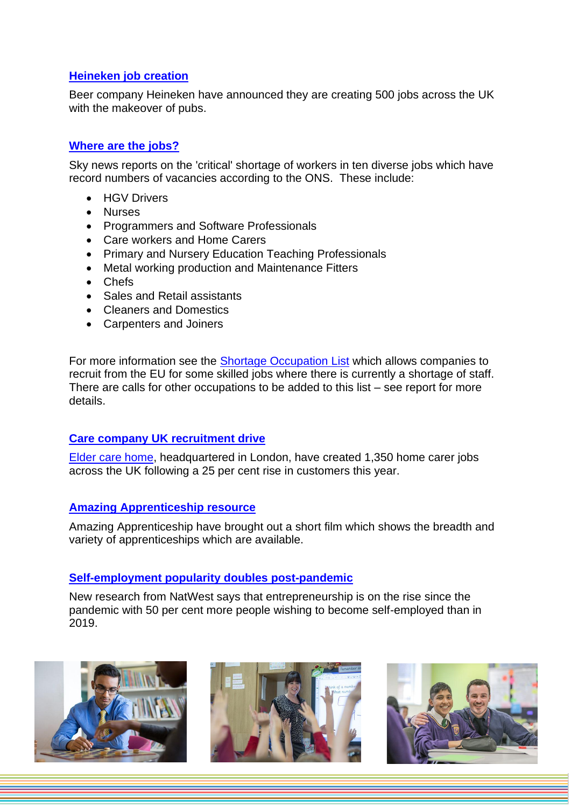## **[Heineken job creation](https://www.cityam.com/500-new-jobs-heineken-to-inject-38m-into-its-uk-pub-business-star/)**

Beer company Heineken have announced they are creating 500 jobs across the UK with the makeover of pubs.

## **[Where are the jobs?](https://news.sky.com/story/the-ten-jobs-where-people-are-needed-most-as-uk-battles-vacancy-glut-12400384)**

Sky news reports on the 'critical' shortage of workers in ten diverse jobs which have record numbers of vacancies according to the ONS. These include:

- HGV Drivers
- Nurses
- Programmers and Software Professionals
- Care workers and Home Carers
- Primary and Nursery Education Teaching Professionals
- Metal working production and Maintenance Fitters
- Chefs
- Sales and Retail assistants
- Cleaners and Domestics
- Carpenters and Joiners

For more information see the [Shortage Occupation List](https://www.gov.uk/government/publications/skilled-worker-visa-shortage-occupations) which allows companies to recruit from the EU for some skilled jobs where there is currently a shortage of staff. There are calls for other occupations to be added to this list – see report for more details.

## **[Care company UK recruitment drive](https://bdaily.co.uk/articles/2021/09/06/live-in-care-company-creates-1350-uk-jobs-as-demand-surges-by-25?)**

[Elder care home,](https://www.elder.org/become-a-carer/apply/?utm_campaign=&adgroupid=87924303990&feeditemid=&target=kwd-303874939864&locationinterest=&locationphysical=1006908&matchtype=b&network=g&device=c&devicemodel=&mobile=¬mobile=%5bnotmobile%5d&searchnet=%5bsearch%5d&displaynet=&adid=491882845676&keyword=%2Belder%20%2Bcare%20%2Bjobs&placement=&adposition=&campaignid=8111026227&utm_source=Google&pillar=&dyn_dtrp1=&dyn_dtrh1=&gclid=Cj0KCQjwm9yJBhDTARIsABKIcGZ_T9dmgafwTZv0ofM3NjKr5KjLxFdmgYW2SZ0Jp3dbDxHXjpLTzTIaAuABEALw_wcB) headquartered in London, have created 1,350 home carer jobs across the UK following a 25 per cent rise in customers this year.

### **[Amazing Apprenticeship resource](https://amazingapprenticeships.com/resource/apprentices-are-amazing-film/?utm_source=mailchimp&utm_medium=film&utm_campaign=AA+Sept+Launch)**

Amazing Apprenticeship have brought out a short film which shows the breadth and variety of apprenticeships which are available.

## **[Self-employment popularity doubles post-pandemic](https://smallbusiness.co.uk/one-in-seven-adults-plan-to-become-entrepreneurs-2557145/)**

New research from NatWest says that entrepreneurship is on the rise since the pandemic with 50 per cent more people wishing to become self-employed than in 2019.





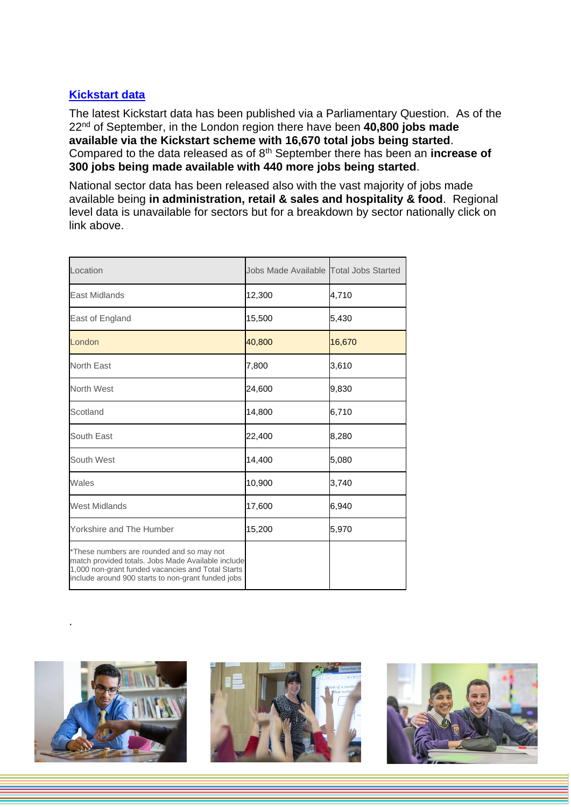## **[Kickstart data](https://questions-statements.parliament.uk/written-questions/detail/2021-09-21/52625)**

The latest Kickstart data has been published via a Parliamentary Question. As of the 22nd of September, in the London region there have been **40,800 jobs made available via the Kickstart scheme with 16,670 total jobs being started**. Compared to the data released as of 8th September there has been an **increase of 300 jobs being made available with 440 more jobs being started**.

National sector data has been released also with the vast majority of jobs made available being **in administration, retail & sales and hospitality & food**. Regional level data is unavailable for sectors but for a breakdown by sector nationally click on link above.

| Location                                                                                                                                                                                                   | Jobs Made Available Total Jobs Started |        |
|------------------------------------------------------------------------------------------------------------------------------------------------------------------------------------------------------------|----------------------------------------|--------|
| <b>East Midlands</b>                                                                                                                                                                                       | 12,300                                 | 4,710  |
| East of England                                                                                                                                                                                            | 15,500                                 | 5,430  |
| London                                                                                                                                                                                                     | 40,800                                 | 16,670 |
| North East                                                                                                                                                                                                 | 7,800                                  | 3,610  |
| North West                                                                                                                                                                                                 | 24,600                                 | 9,830  |
| Scotland                                                                                                                                                                                                   | 14,800                                 | 6,710  |
| South East                                                                                                                                                                                                 | 22,400                                 | 8,280  |
| South West                                                                                                                                                                                                 | 14,400                                 | 5,080  |
| Wales                                                                                                                                                                                                      | 10,900                                 | 3,740  |
| <b>West Midlands</b>                                                                                                                                                                                       | 17,600                                 | 6,940  |
| Yorkshire and The Humber                                                                                                                                                                                   | 15,200                                 | 5,970  |
| *These numbers are rounded and so may not<br>match provided totals. Jobs Made Available include<br>1,000 non-grant funded vacancies and Total Starts<br>include around 900 starts to non-grant funded jobs |                                        |        |



.



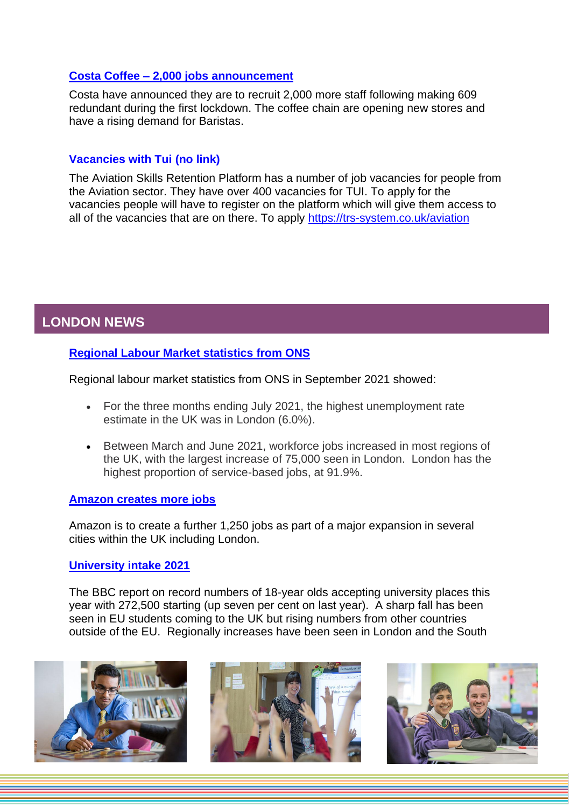## **Costa Coffee – [2,000 jobs announcement](https://www.bbc.co.uk/news/business-58504123)**

Costa have announced they are to recruit 2,000 more staff following making 609 redundant during the first lockdown. The coffee chain are opening new stores and have a rising demand for Baristas.

## **Vacancies with Tui (no link)**

The Aviation Skills Retention Platform has a number of job vacancies for people from the Aviation sector. They have over 400 vacancies for TUI. To apply for the vacancies people will have to register on the platform which will give them access to all of the vacancies that are on there. To apply [https://trs-system.co.uk/aviation](https://protect-eu.mimecast.com/s/dnFOCMwpzuqW3lwuwMRAw?domain=trs-system.co.uk)

# <span id="page-5-0"></span>**LONDON NEWS**

## **[Regional Labour Market statistics from ONS](https://www.ons.gov.uk/employmentandlabourmarket/peopleinwork/employmentandemployeetypes/bulletins/regionallabourmarket/september2021)**

Regional labour market statistics from ONS in September 2021 showed:

- For the three months ending July 2021, the highest unemployment rate estimate in the UK was in London (6.0%).
- Between March and June 2021, workforce jobs increased in most regions of the UK, with the largest increase of 75,000 seen in London. London has the highest proportion of service-based jobs, at 91.9%.

### **[Amazon creates more jobs](https://www.business-live.co.uk/retail-consumer/amazon-create-another-1250-jobs-21456939)**

Amazon is to create a further 1,250 jobs as part of a major expansion in several cities within the UK including London.

### **[University intake 2021](https://www.bbc.co.uk/news/education-58478227)**

The BBC report on record numbers of 18-year olds accepting university places this year with 272,500 starting (up seven per cent on last year). A sharp fall has been seen in EU students coming to the UK but rising numbers from other countries outside of the EU. Regionally increases have been seen in London and the South





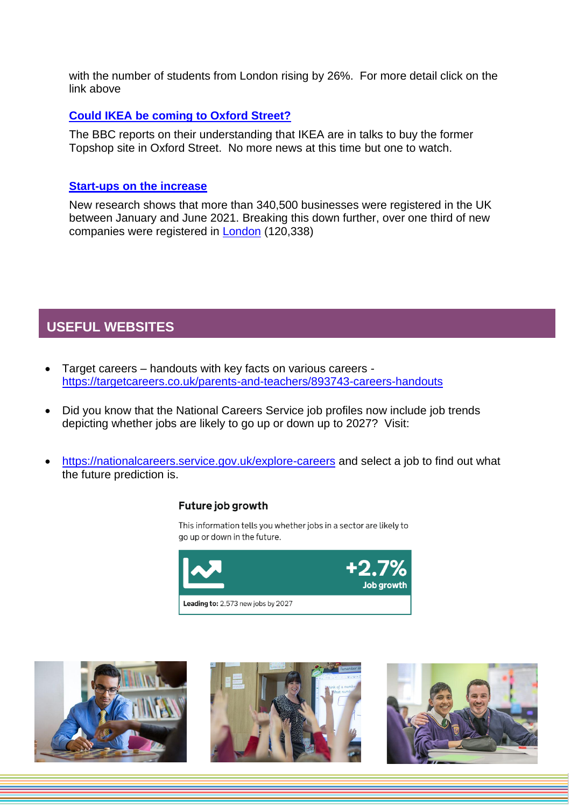with the number of students from London rising by 26%. For more detail click on the link above

### **[Could IKEA be coming to Oxford Street?](https://www.bbc.co.uk/news/business-58508917)**

The BBC reports on their understanding that IKEA are in talks to buy the former Topshop site in Oxford Street. No more news at this time but one to watch.

## **[Start-ups on the increase](https://startups.co.uk/news/80-new-uk-businesses-2021/)**

New research shows that more than 340,500 businesses were registered in the UK between January and June 2021. Breaking this down further, over one third of new companies were registered in [London](https://www.iwoca.co.uk/news/small-business-hotspots/) (120,338)

## <span id="page-6-0"></span>**USEFUL WEBSITES**

- Target careers handouts with key facts on various careers <https://targetcareers.co.uk/parents-and-teachers/893743-careers-handouts>
- Did you know that the National Careers Service job profiles now include job trends depicting whether jobs are likely to go up or down up to 2027? Visit:
- <https://nationalcareers.service.gov.uk/explore-careers> and select a job to find out what the future prediction is.

### Future job growth

This information tells you whether jobs in a sector are likely to go up or down in the future.